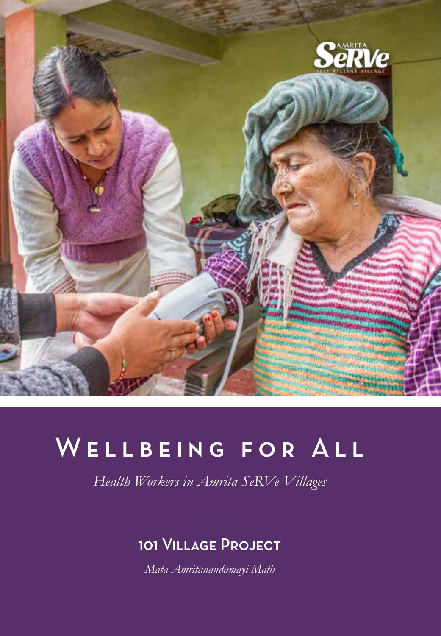

# WELLBEING FOR ALL

*Health Workers in Amrita SeRVe Villages*

#### 101 Village Project

*Mata Amritanandamayi Math*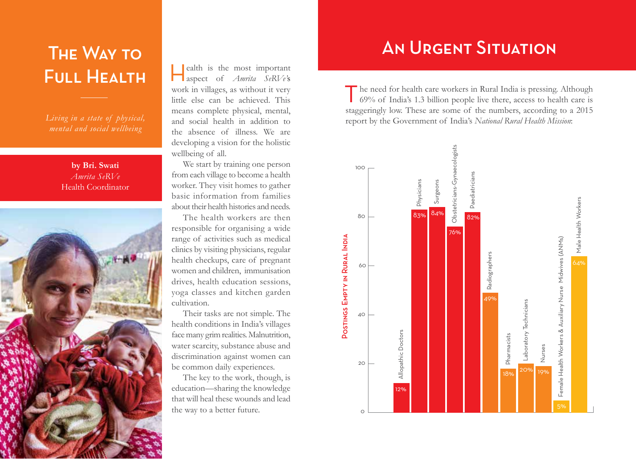# The Way to Full Health

*mental and social wellbeing*

**by Bri. Swati**  *Amrita SeRVe* Health Coordinator



Health is the most important aspect of *Amrita SeRVe'*s work in villages, as without it very little else can be achieved. This means complete physical, mental, and social health in addition to the absence of illness. We are developing a vision for the holistic wellbeing of all.

We start by training one person from each village to become a health worker. They visit homes to gather basic information from families about their health histories and needs.

The health workers are then responsible for organising a wide range of activities such as medical clinics by visiting physicians, regular health checkups, care of pregnant women and children, immunisation drives, health education sessions, yoga classes and kitchen garden cultivation.

Their tasks are not simple. The health conditions in India's villages face many grim realities. Malnutrition, water scarcity, substance abuse and discrimination against women can be common daily experiences.

The key to the work, though, is education—sharing the knowledge that will heal these wounds and lead the way to a better future.

## An Urgent Situation

The need for health care workers in Rural India is pressing. Although 69% of India's 1.3 billion people live there, access to health care is staggeringly low. These are some of the numbers, according to a 2015 report by the Government of India's *National Rural Health Mission*:

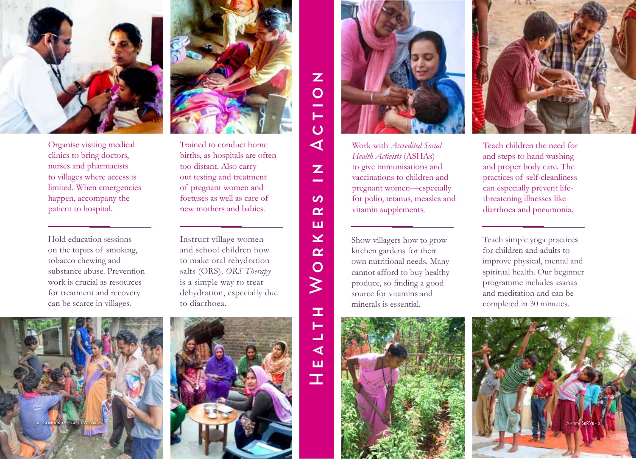

Organise visiting medical clinics to bring doctors, nurses and pharmacists to villages where access is limited. When emergencies happen, accompany the patient to hospital.

Hold education sessions on the topics of smoking, tobacco chewing and substance abuse. Prevention work is crucial as resources for treatment and recovery can be scarce in villages.



Trained to conduct home births, as hospitals are often too distant. Also carry out testing and treatment of pregnant women and foetuses as well as care of new mothers and babies.

Instruct village women and school children how to make oral rehydration salts (ORS). *ORS Therapy* is a simple way to treat dehydration, especially due to diarrhoea.





Work with *Accredited Social Health Activists* (ASHAs) to give immunisations and vaccinations to children and pregnant women—especially for polio, tetanus, measles and vitamin supplements.

Show villagers how to grow kitchen gardens for their own nutritional needs. Many cannot afford to buy healthy produce, so finding a good source for vitamins and minerals is essential.

Health Workers in Action

 $\geq$ 

ш. ⊢ コ  $\blacktriangleleft$ ш  $\mathbf T$ 

 $\mathbf{Z}$  $\overline{O}$ 

Н  $\overline{O}$  $\blacktriangleleft$ 

> Z and the

 $\boldsymbol{\omega}$  $\alpha$ ш  $\overline{\textbf{X}}$  $\alpha$  $\overline{O}$ 





Teach children the need for and steps to hand washing and proper body care. The practices of self-cleanliness can especially prevent lifethreatening illnesses like diarrhoea and pneumonia.

Teach simple yoga practices for children and adults to improve physical, mental and spiritual health. Our beginner programme includes asanas and meditation and can be completed in 30 minutes.

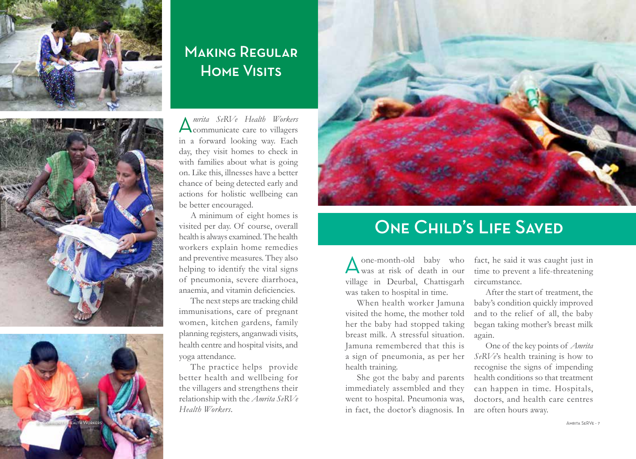





#### **MAKING REGUI AD** Home Visits

A*mrita SeRVe Health Workers*  communicate care to villagers in a forward looking way. Each day, they visit homes to check in with families about what is going on. Like this, illnesses have a better chance of being detected early and actions for holistic wellbeing can be better encouraged.

A minimum of eight homes is visited per day. Of course, overall health is always examined. The health workers explain home remedies and preventive measures. They also helping to identify the vital signs of pneumonia, severe diarrhoea, anaemia, and vitamin deficiencies.

The next steps are tracking child immunisations, care of pregnant women, kitchen gardens, family planning registers, anganwadi visits, health centre and hospital visits, and yoga attendance.

The practice helps provide better health and wellbeing for the villagers and strengthens their relationship with the *Amrita SeRVe Health Workers*.



### **ONE CHILD'S LIFE SAVED**

Aone-month-old baby who was at risk of death in our village in Deurbal, Chattisgarh was taken to hospital in time.

When health worker Jamuna visited the home, the mother told her the baby had stopped taking breast milk. A stressful situation. Jamuna remembered that this is a sign of pneumonia, as per her health training.

She got the baby and parents immediately assembled and they went to hospital. Pneumonia was, in fact, the doctor's diagnosis. In

fact, he said it was caught just in time to prevent a life-threatening circumstance.

After the start of treatment, the baby's condition quickly improved and to the relief of all, the baby began taking mother's breast milk again.

One of the key points of *Amrita SeRVe*'s health training is how to recognise the signs of impending health conditions so that treatment can happen in time. Hospitals, doctors, and health care centres are often hours away.